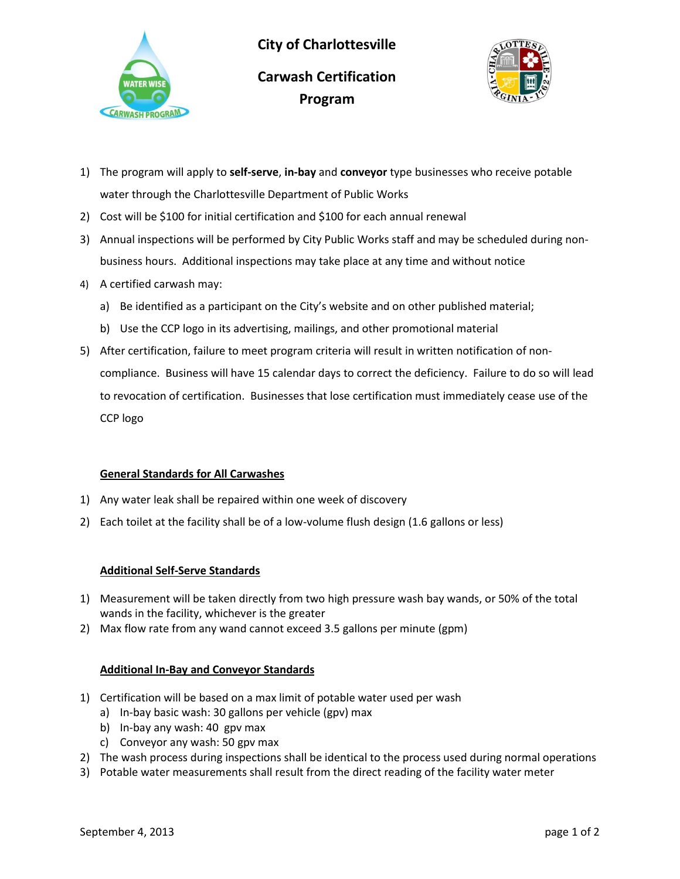



- **Program**
- 1) The program will apply to **self-serve**, **in-bay** and **conveyor** type businesses who receive potable water through the Charlottesville Department of Public Works
- 2) Cost will be \$100 for initial certification and \$100 for each annual renewal
- 3) Annual inspections will be performed by City Public Works staff and may be scheduled during nonbusiness hours. Additional inspections may take place at any time and without notice
- 4) A certified carwash may:
	- a) Be identified as a participant on the City's website and on other published material;
	- b) Use the CCP logo in its advertising, mailings, and other promotional material
- 5) After certification, failure to meet program criteria will result in written notification of noncompliance. Business will have 15 calendar days to correct the deficiency. Failure to do so will lead to revocation of certification. Businesses that lose certification must immediately cease use of the CCP logo

## **General Standards for All Carwashes**

- 1) Any water leak shall be repaired within one week of discovery
- 2) Each toilet at the facility shall be of a low-volume flush design (1.6 gallons or less)

## **Additional Self-Serve Standards**

- 1) Measurement will be taken directly from two high pressure wash bay wands, or 50% of the total wands in the facility, whichever is the greater
- 2) Max flow rate from any wand cannot exceed 3.5 gallons per minute (gpm)

## **Additional In-Bay and Conveyor Standards**

- 1) Certification will be based on a max limit of potable water used per wash
	- a) In-bay basic wash: 30 gallons per vehicle (gpv) max
	- b) In-bay any wash: 40 gpv max
	- c) Conveyor any wash: 50 gpv max
- 2) The wash process during inspections shall be identical to the process used during normal operations
- 3) Potable water measurements shall result from the direct reading of the facility water meter